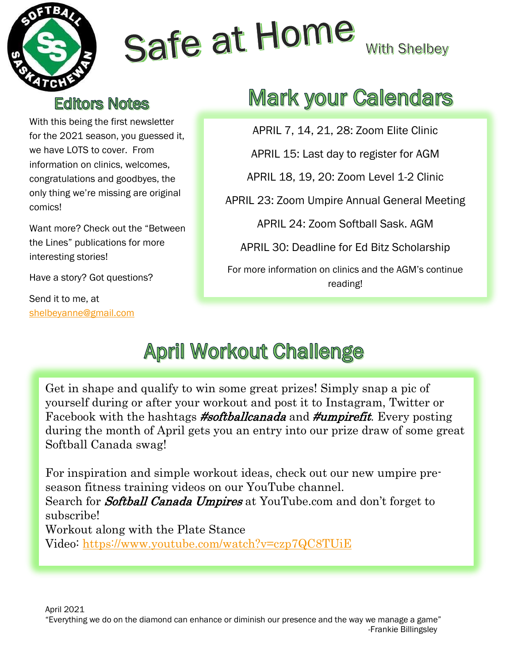

# Safe at Home

**With Shelbey** 

#### **Editors Notes**

With this being the first newsletter for the 2021 season, you guessed it, we have LOTS to cover. From information on clinics, welcomes, congratulations and goodbyes, the only thing we're missing are original comics!

Want more? Check out the "Between the Lines" publications for more interesting stories!

Have a story? Got questions?

Send it to me, at [shelbeyanne@gmail.com](mailto:shelbeyanne@gmail.com)

## **Mark your Calendars**

APRIL 7, 14, 21, 28: Zoom Elite Clinic

APRIL 15: Last day to register for AGM

APRIL 18, 19, 20: Zoom Level 1-2 Clinic

APRIL 23: Zoom Umpire Annual General Meeting

APRIL 24: Zoom Softball Sask. AGM

APRIL 30: Deadline for Ed Bitz Scholarship

For more information on clinics and the AGM's continue reading!

## **April Workout Challenge**

Get in shape and qualify to win some great prizes! Simply snap a pic of yourself during or after your workout and post it to Instagram, Twitter or Facebook with the hashtags **#softballcanada** and **#umpirefit**. Every posting during the month of April gets you an entry into our prize draw of some great Softball Canada swag!

For inspiration and simple workout ideas, check out our new umpire preseason fitness training videos on our YouTube channel. Search for **Softball Canada Umpires** at YouTube.com and don't forget to subscribe! Workout along with the Plate Stance Video: <https://www.youtube.com/watch?v=czp7QC8TUiE>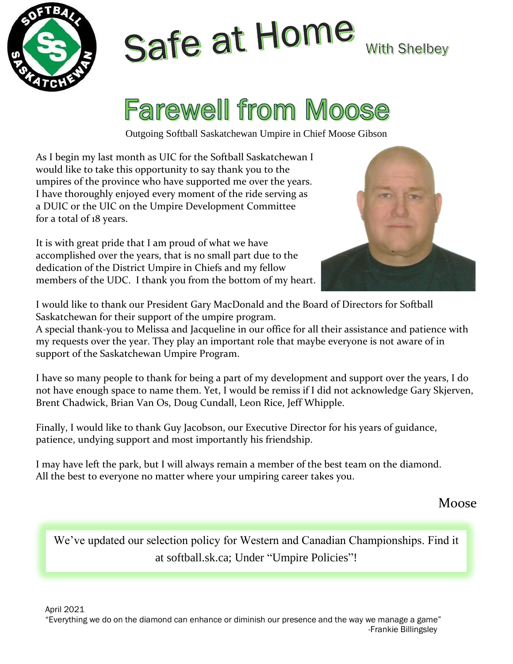

## Safe at Home **With Shelbey**

# **Farewell from Moose**

Outgoing Softball Saskatchewan Umpire in Chief Moose Gibson

As I begin my last month as UIC for the Softball Saskatchewan I would like to take this opportunity to say thank you to the umpires of the province who have supported me over the years. I have thoroughly enjoyed every moment of the ride serving as a DUIC or the UIC on the Umpire Development Committee for a total of 18 years.

It is with great pride that I am proud of what we have accomplished over the years, that is no small part due to the dedication of the District Umpire in Chiefs and my fellow members of the UDC. I thank you from the bottom of my heart.



I would like to thank our President Gary MacDonald and the Board of Directors for Softball Saskatchewan for their support of the umpire program.

A special thank-you to Melissa and Jacqueline in our office for all their assistance and patience with my requests over the year. They play an important role that maybe everyone is not aware of in support of the Saskatchewan Umpire Program.

I have so many people to thank for being a part of my development and support over the years, I do not have enough space to name them. Yet, I would be remiss if I did not acknowledge Gary Skjerven, Brent Chadwick, Brian Van Os, Doug Cundall, Leon Rice, Jeff Whipple.

Finally, I would like to thank Guy Jacobson, our Executive Director for his years of guidance, patience, undying support and most importantly his friendship.

I may have left the park, but I will always remain a member of the best team on the diamond. All the best to everyone no matter where your umpiring career takes you.

Moose

We've updated our selection policy for Western and Canadian Championships. Find it at softball.sk.ca; Under "Umpire Policies"!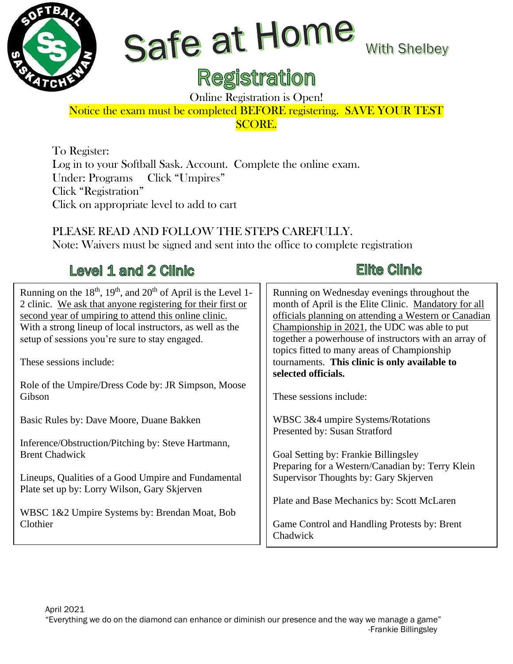

# Safe at Home

**With Shelbey** 

### **Registration**

Online Registration is Open!

#### Notice the exam must be completed BEFORE registering. SAVE YOUR TEST SCORE.

To Register: Log in to your Softball Sask. Account. Complete the online exam. Under: Programs Click "Umpires" Click "Registration" Click on appropriate level to add to cart

PLEASE READ AND FOLLOW THE STEPS CAREFULLY. Note: Waivers must be signed and sent into the office to complete registration

#### Level 1 and 2 Clinic

#### Running on the  $18<sup>th</sup>$ ,  $19<sup>th</sup>$ , and  $20<sup>th</sup>$  of April is the Level 1-2 clinic. We ask that anyone registering for their first or second year of umpiring to attend this online clinic. With a strong lineup of local instructors, as well as the setup of sessions you're sure to stay engaged.

These sessions include:

Role of the Umpire/Dress Code by: JR Simpson, Moose Gibson

Basic Rules by: Dave Moore, Duane Bakken

Inference/Obstruction/Pitching by: Steve Hartmann, Brent Chadwick

Lineups, Qualities of a Good Umpire and Fundamental Plate set up by: Lorry Wilson, Gary Skjerven

WBSC 1&2 Umpire Systems by: Brendan Moat, Bob Clothier

#### **Elite Clinic**

| Running on Wednesday evenings throughout the<br>month of April is the Elite Clinic. Mandatory for all<br>officials planning on attending a Western or Canadian<br>Championship in 2021, the UDC was able to put<br>together a powerhouse of instructors with an array of<br>topics fitted to many areas of Championship<br>tournaments. This clinic is only available to |
|--------------------------------------------------------------------------------------------------------------------------------------------------------------------------------------------------------------------------------------------------------------------------------------------------------------------------------------------------------------------------|
| selected officials.                                                                                                                                                                                                                                                                                                                                                      |
| These sessions include:                                                                                                                                                                                                                                                                                                                                                  |
| WBSC 3&4 umpire Systems/Rotations                                                                                                                                                                                                                                                                                                                                        |
| Presented by: Susan Stratford                                                                                                                                                                                                                                                                                                                                            |

Goal Setting by: Frankie Billingsley Preparing for a Western/Canadian by: Terry Klein Supervisor Thoughts by: Gary Skjerven

Plate and Base Mechanics by: Scott McLaren

Game Control and Handling Protests by: Brent Chadwick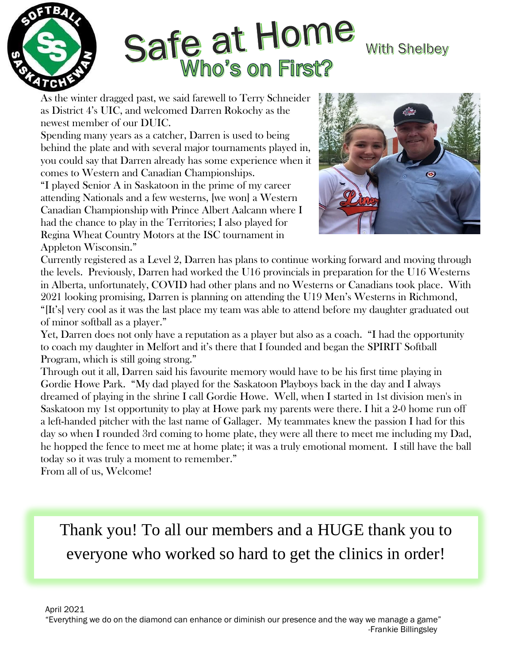

# Safe at Home **Who's on First?**

#### **With Shelbey**

As the winter dragged past, we said farewell to Terry Schneider as District 4's UIC, and welcomed Darren Rokochy as the newest member of our DUIC.

Spending many years as a catcher, Darren is used to being behind the plate and with several major tournaments played in, you could say that Darren already has some experience when it comes to Western and Canadian Championships.

"I played Senior A in Saskatoon in the prime of my career attending Nationals and a few westerns, [we won] a Western Canadian Championship with Prince Albert Aalcann where I had the chance to play in the Territories; I also played for Regina Wheat Country Motors at the ISC tournament in Appleton Wisconsin."



Currently registered as a Level 2, Darren has plans to continue working forward and moving through the levels. Previously, Darren had worked the U16 provincials in preparation for the U16 Westerns in Alberta, unfortunately, COVID had other plans and no Westerns or Canadians took place. With 2021 looking promising, Darren is planning on attending the U19 Men's Westerns in Richmond, "[It's] very cool as it was the last place my team was able to attend before my daughter graduated out of minor softball as a player."

Yet, Darren does not only have a reputation as a player but also as a coach. "I had the opportunity to coach my daughter in Melfort and it's there that I founded and began the SPIRIT Softball Program, which is still going strong."

Through out it all, Darren said his favourite memory would have to be his first time playing in Gordie Howe Park. "My dad played for the Saskatoon Playboys back in the day and I always dreamed of playing in the shrine I call Gordie Howe. Well, when I started in 1st division men's in Saskatoon my 1st opportunity to play at Howe park my parents were there. I hit a 2-0 home run off a left-handed pitcher with the last name of Gallager. My teammates knew the passion I had for this day so when I rounded 3rd coming to home plate, they were all there to meet me including my Dad, he hopped the fence to meet me at home plate; it was a truly emotional moment. I still have the ball today so it was truly a moment to remember."

From all of us, Welcome!

Thank you! To all our members and a HUGE thank you to everyone who worked so hard to get the clinics in order!